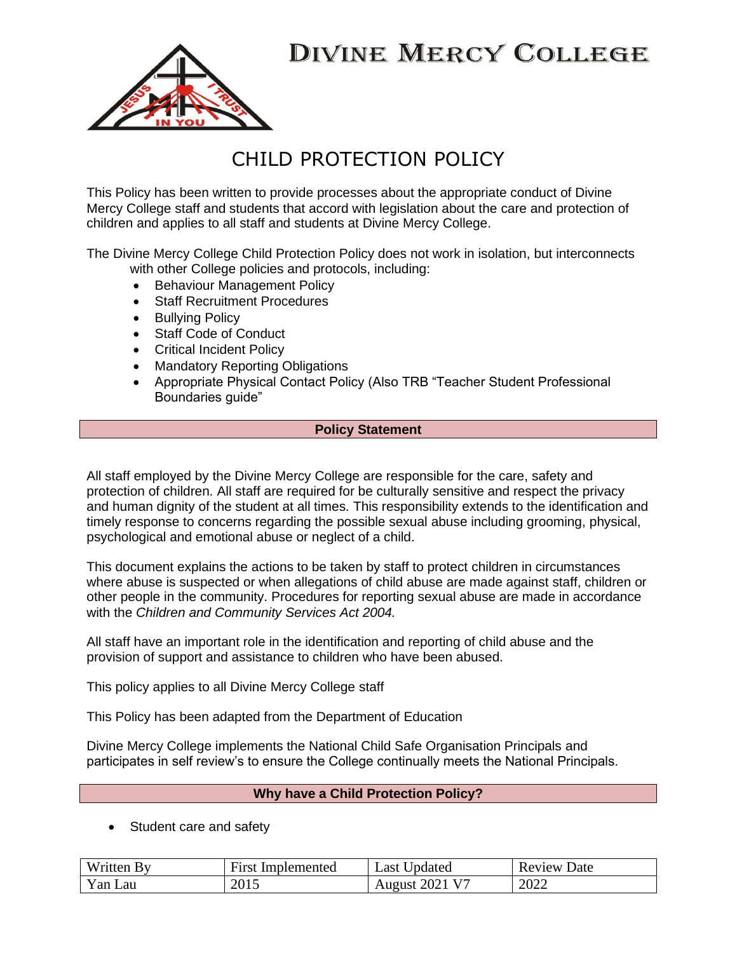

### CHILD PROTECTION POLICY

This Policy has been written to provide processes about the appropriate conduct of Divine Mercy College staff and students that accord with legislation about the care and protection of children and applies to all staff and students at Divine Mercy College.

The Divine Mercy College Child Protection Policy does not work in isolation, but interconnects with other College policies and protocols, including:

- Behaviour Management Policy
- Staff Recruitment Procedures
- Bullying Policy
- Staff Code of Conduct
- Critical Incident Policy
- Mandatory Reporting Obligations
- Appropriate Physical Contact Policy (Also TRB "Teacher Student Professional Boundaries guide"

#### **Policy Statement**

All staff employed by the Divine Mercy College are responsible for the care, safety and protection of children. All staff are required for be culturally sensitive and respect the privacy and human dignity of the student at all times. This responsibility extends to the identification and timely response to concerns regarding the possible sexual abuse including grooming, physical, psychological and emotional abuse or neglect of a child.

This document explains the actions to be taken by staff to protect children in circumstances where abuse is suspected or when allegations of child abuse are made against staff, children or other people in the community. Procedures for reporting sexual abuse are made in accordance with the *Children and Community Services Act 2004.* 

All staff have an important role in the identification and reporting of child abuse and the provision of support and assistance to children who have been abused.

This policy applies to all Divine Mercy College staff

This Policy has been adapted from the Department of Education

Divine Mercy College implements the National Child Safe Organisation Principals and participates in self review's to ensure the College continually meets the National Principals.

### **Why have a Child Protection Policy?**

• Student care and safety

| Written By | <b>First Implemented</b> | Last Updated               | <b>Review Date</b> |
|------------|--------------------------|----------------------------|--------------------|
| Yan Lau    | 2015                     | August 2021 V <sup>7</sup> | 2022               |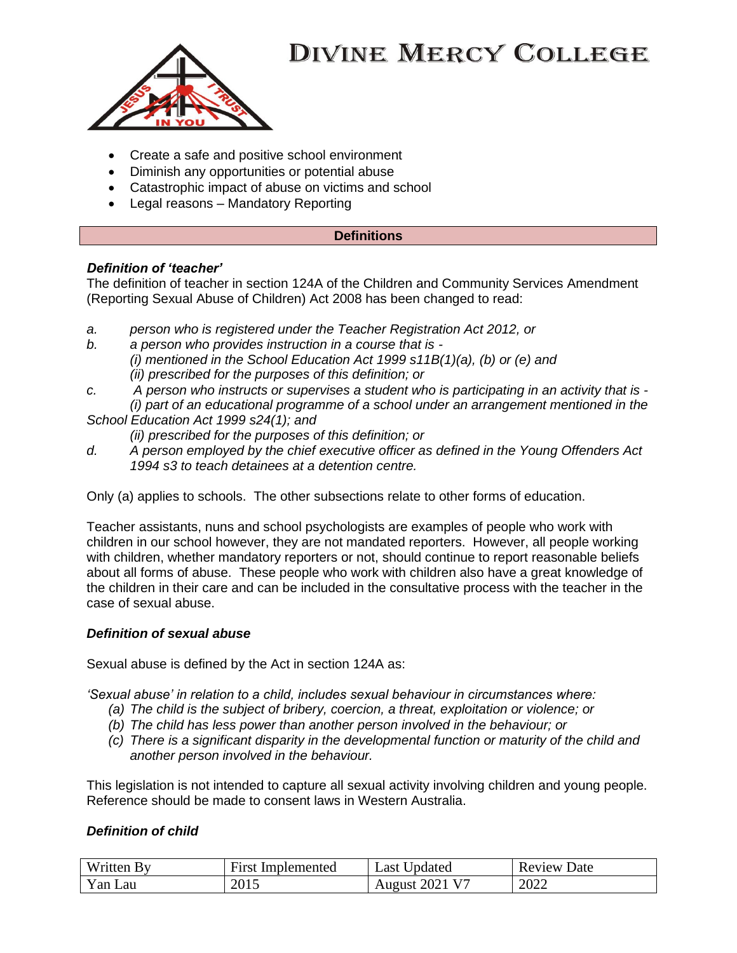

- Create a safe and positive school environment
- Diminish any opportunities or potential abuse
- Catastrophic impact of abuse on victims and school
- Legal reasons Mandatory Reporting

#### **Definitions**

### *Definition of 'teacher'*

The definition of teacher in section 124A of the Children and Community Services Amendment (Reporting Sexual Abuse of Children) Act 2008 has been changed to read:

- *a. person who is registered under the Teacher Registration Act 2012, or*
- *b. a person who provides instruction in a course that is - (i) mentioned in the School Education Act 1999 s11B(1)(a), (b) or (e) and (ii) prescribed for the purposes of this definition; or*
- *c. A person who instructs or supervises a student who is participating in an activity that is -*
- *(i) part of an educational programme of a school under an arrangement mentioned in the School Education Act 1999 s24(1); and*
	- *(ii) prescribed for the purposes of this definition; or*
- *d. A person employed by the chief executive officer as defined in the Young Offenders Act 1994 s3 to teach detainees at a detention centre.*

Only (a) applies to schools. The other subsections relate to other forms of education.

Teacher assistants, nuns and school psychologists are examples of people who work with children in our school however, they are not mandated reporters. However, all people working with children, whether mandatory reporters or not, should continue to report reasonable beliefs about all forms of abuse. These people who work with children also have a great knowledge of the children in their care and can be included in the consultative process with the teacher in the case of sexual abuse.

### *Definition of sexual abuse*

Sexual abuse is defined by the Act in section 124A as:

*'Sexual abuse' in relation to a child, includes sexual behaviour in circumstances where:*

- *(a) The child is the subject of bribery, coercion, a threat, exploitation or violence; or*
- *(b) The child has less power than another person involved in the behaviour; or*
- *(c) There is a significant disparity in the developmental function or maturity of the child and another person involved in the behaviour.*

This legislation is not intended to capture all sexual activity involving children and young people. Reference should be made to consent laws in Western Australia.

### *Definition of child*

| Written  | First       | Jpdated         | Date   |
|----------|-------------|-----------------|--------|
|          | Implemented | ∟ast '          | Review |
| Y an Lau | 2015        | 202 J<br>August | 2022   |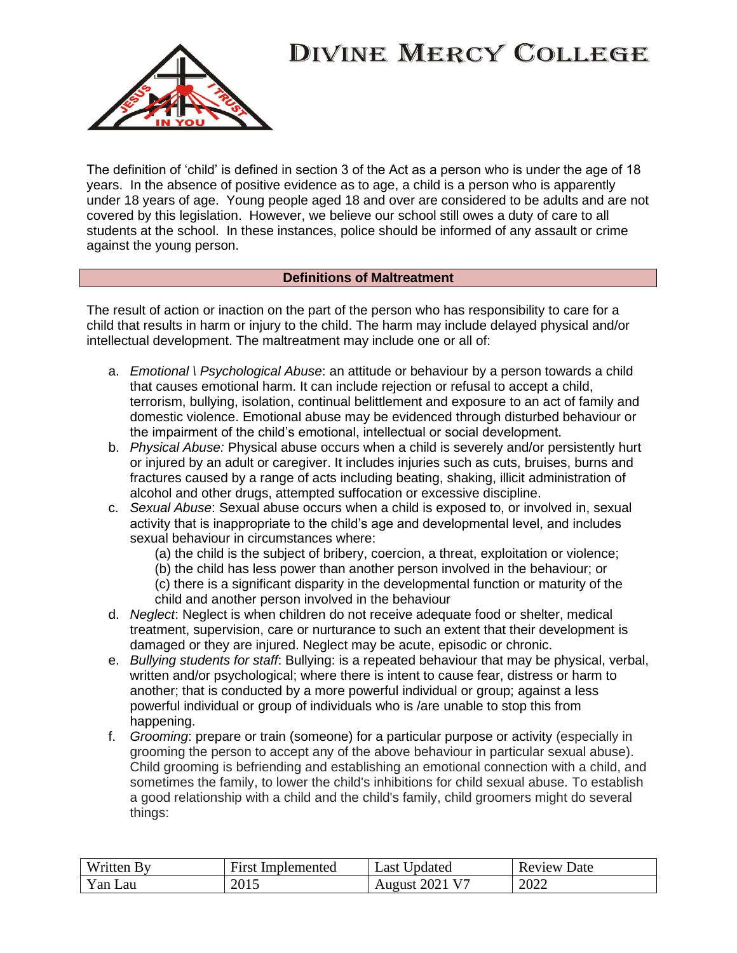

The definition of 'child' is defined in section 3 of the Act as a person who is under the age of 18 years. In the absence of positive evidence as to age, a child is a person who is apparently under 18 years of age. Young people aged 18 and over are considered to be adults and are not covered by this legislation. However, we believe our school still owes a duty of care to all students at the school. In these instances, police should be informed of any assault or crime against the young person.

#### **Definitions of Maltreatment**

The result of action or inaction on the part of the person who has responsibility to care for a child that results in harm or injury to the child. The harm may include delayed physical and/or intellectual development. The maltreatment may include one or all of:

- a. *Emotional \ Psychological Abuse*: an attitude or behaviour by a person towards a child that causes emotional harm. It can include rejection or refusal to accept a child, terrorism, bullying, isolation, continual belittlement and exposure to an act of family and domestic violence. Emotional abuse may be evidenced through disturbed behaviour or the impairment of the child's emotional, intellectual or social development.
- b. *Physical Abuse:* Physical abuse occurs when a child is severely and/or persistently hurt or injured by an adult or caregiver. It includes injuries such as cuts, bruises, burns and fractures caused by a range of acts including beating, shaking, illicit administration of alcohol and other drugs, attempted suffocation or excessive discipline.
- c. *Sexual Abuse*: Sexual abuse occurs when a child is exposed to, or involved in, sexual activity that is inappropriate to the child's age and developmental level, and includes sexual behaviour in circumstances where:
	- (a) the child is the subject of bribery, coercion, a threat, exploitation or violence;
	- (b) the child has less power than another person involved in the behaviour; or
	- (c) there is a significant disparity in the developmental function or maturity of the child and another person involved in the behaviour
- d. *Neglect*: Neglect is when children do not receive adequate food or shelter, medical treatment, supervision, care or nurturance to such an extent that their development is damaged or they are injured. Neglect may be acute, episodic or chronic.
- e. *Bullying students for staff*: Bullying: is a repeated behaviour that may be physical, verbal, written and/or psychological; where there is intent to cause fear, distress or harm to another; that is conducted by a more powerful individual or group; against a less powerful individual or group of individuals who is /are unable to stop this from happening.
- f. *Grooming*: prepare or train (someone) for a particular purpose or activity (especially in grooming the person to accept any of the above behaviour in particular sexual abuse). Child grooming is befriending and establishing an emotional connection with a child, and sometimes the family, to lower the child's inhibitions for child sexual abuse. To establish a good relationship with a child and the child's family, child groomers might do several things:

| Written<br>Bv                     | ÷.<br>Implemented<br>First. | Jpdated<br>Last              | Date<br>Review |
|-----------------------------------|-----------------------------|------------------------------|----------------|
| $\mathbf{v}_{\text{an L}}$<br>Lau | 2015                        | $2021 \text{ V}^7$<br>August | 2022           |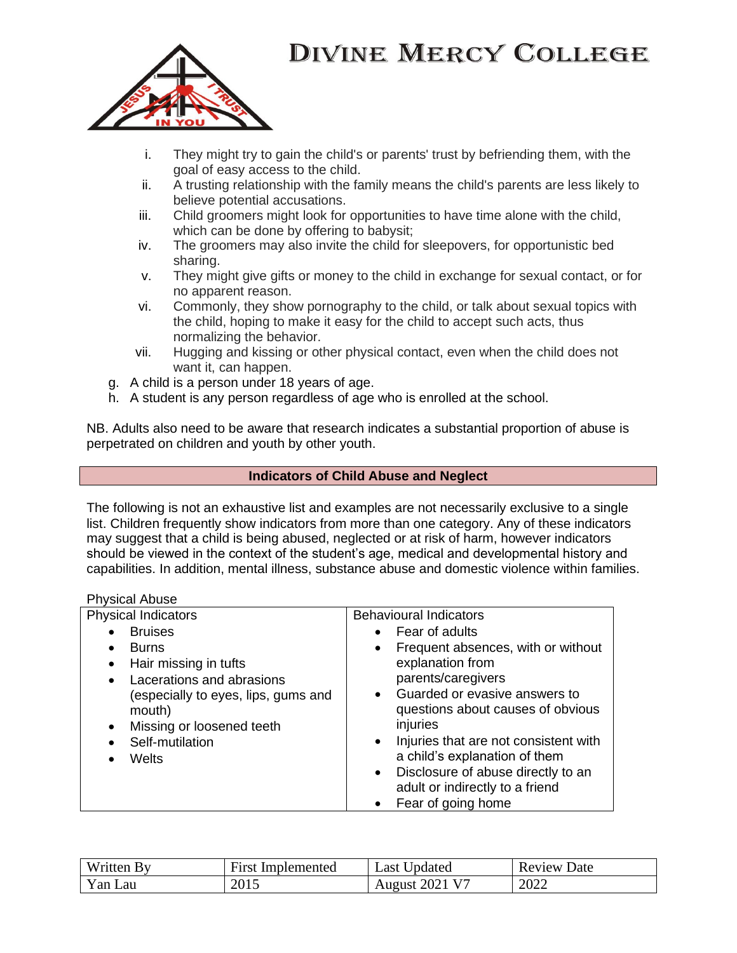

- i. They might try to gain the child's or parents' trust by befriending them, with the goal of easy access to the child.
- ii. A trusting relationship with the family means the child's parents are less likely to believe potential accusations.
- iii. Child groomers might look for opportunities to have time alone with the child, which can be done by offering to babysit;
- iv. The groomers may also invite the child for sleepovers, for opportunistic bed sharing.
- v. They might give gifts or money to the child in exchange for sexual contact, or for no apparent reason.
- vi. Commonly, they show pornography to the child, or talk about sexual topics with the child, hoping to make it easy for the child to accept such acts, thus normalizing the behavior.
- vii. Hugging and kissing or other physical contact, even when the child does not want it, can happen.
- g. A child is a person under 18 years of age.
- h. A student is any person regardless of age who is enrolled at the school.

NB. Adults also need to be aware that research indicates a substantial proportion of abuse is perpetrated on children and youth by other youth.

### **Indicators of Child Abuse and Neglect**

The following is not an exhaustive list and examples are not necessarily exclusive to a single list. Children frequently show indicators from more than one category. Any of these indicators may suggest that a child is being abused, neglected or at risk of harm, however indicators should be viewed in the context of the student's age, medical and developmental history and capabilities. In addition, mental illness, substance abuse and domestic violence within families.

#### Physical Abuse

| <b>Physical Indicators</b>                                                                                          | <b>Behavioural Indicators</b>                                                                                                                                                                                                                                                                    |
|---------------------------------------------------------------------------------------------------------------------|--------------------------------------------------------------------------------------------------------------------------------------------------------------------------------------------------------------------------------------------------------------------------------------------------|
| <b>Bruises</b>                                                                                                      | Fear of adults<br>$\bullet$                                                                                                                                                                                                                                                                      |
| <b>Burns</b><br>$\bullet$                                                                                           | Frequent absences, with or without<br>$\bullet$                                                                                                                                                                                                                                                  |
| Hair missing in tufts<br>$\bullet$                                                                                  | explanation from                                                                                                                                                                                                                                                                                 |
| Lacerations and abrasions<br>$\bullet$                                                                              | parents/caregivers                                                                                                                                                                                                                                                                               |
| (especially to eyes, lips, gums and<br>mouth)<br>Missing or loosened teeth<br>$\bullet$<br>Self-mutilation<br>Welts | • Guarded or evasive answers to<br>questions about causes of obvious<br>injuries<br>Injuries that are not consistent with<br>$\bullet$<br>a child's explanation of them<br>Disclosure of abuse directly to an<br>$\bullet$<br>adult or indirectly to a friend<br>Fear of going home<br>$\bullet$ |

| $\mathbf{v}$<br>Written By | <b>First Implemented</b> | Last Updated          | Review<br>Date |
|----------------------------|--------------------------|-----------------------|----------------|
| Yan Lau                    | 2015                     | <b>August 2021 V7</b> | 2022           |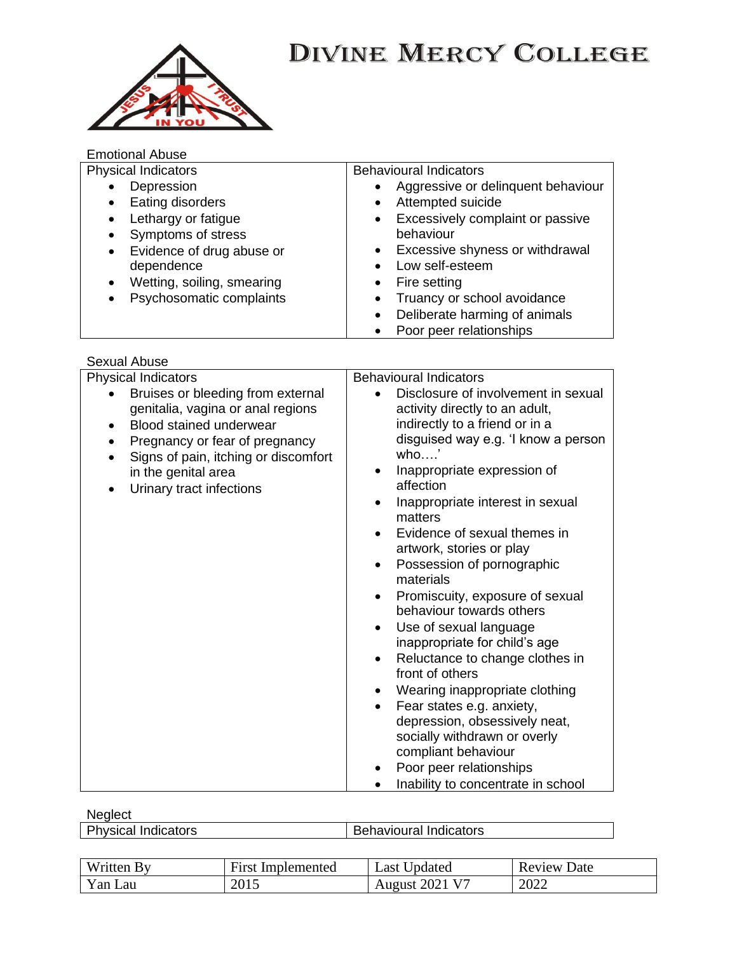

### Emotional Abuse

| <b>Physical Indicators</b>              | <b>Behavioural Indicators</b>                 |
|-----------------------------------------|-----------------------------------------------|
| Depression<br>$\bullet$                 | Aggressive or delinquent behaviour            |
| Eating disorders<br>$\bullet$           | Attempted suicide<br>$\bullet$                |
| Lethargy or fatigue<br>$\bullet$        | Excessively complaint or passive<br>$\bullet$ |
| Symptoms of stress<br>$\bullet$         | behaviour                                     |
| Evidence of drug abuse or<br>$\bullet$  | • Excessive shyness or withdrawal             |
| dependence                              | Low self-esteem                               |
| Wetting, soiling, smearing<br>$\bullet$ | Fire setting                                  |
| Psychosomatic complaints<br>$\bullet$   | Truancy or school avoidance                   |
|                                         | Deliberate harming of animals<br>$\bullet$    |
|                                         | Poor peer relationships                       |

Sexual Abuse

| <b>Physical Indicators</b>                                                          | <b>Behavioural Indicators</b>                                            |
|-------------------------------------------------------------------------------------|--------------------------------------------------------------------------|
| Bruises or bleeding from external                                                   | Disclosure of involvement in sexual                                      |
| genitalia, vagina or anal regions                                                   | activity directly to an adult,                                           |
| Blood stained underwear<br>$\bullet$                                                | indirectly to a friend or in a                                           |
| Pregnancy or fear of pregnancy<br>$\bullet$<br>Signs of pain, itching or discomfort | disguised way e.g. 'I know a person<br>who'                              |
| in the genital area<br>Urinary tract infections<br>$\bullet$                        | Inappropriate expression of<br>$\bullet$<br>affection                    |
|                                                                                     | Inappropriate interest in sexual<br>$\bullet$<br>matters                 |
|                                                                                     | Evidence of sexual themes in<br>artwork, stories or play                 |
|                                                                                     | Possession of pornographic<br>$\bullet$<br>materials                     |
|                                                                                     | Promiscuity, exposure of sexual<br>$\bullet$<br>behaviour towards others |
|                                                                                     | Use of sexual language<br>$\bullet$<br>inappropriate for child's age     |
|                                                                                     | Reluctance to change clothes in<br>$\bullet$                             |
|                                                                                     | front of others                                                          |
|                                                                                     | Wearing inappropriate clothing<br>$\bullet$                              |
|                                                                                     | Fear states e.g. anxiety,<br>$\bullet$                                   |
|                                                                                     | depression, obsessively neat,                                            |
|                                                                                     | socially withdrawn or overly                                             |
|                                                                                     | compliant behaviour                                                      |
|                                                                                     | Poor peer relationships                                                  |
|                                                                                     | Inability to concentrate in school                                       |

**Neglect** 

 $\overline{\phantom{a}}$ 

| .<br><b>Physical Indicators</b> | <b>Behavioural Indicators</b> |
|---------------------------------|-------------------------------|
|                                 |                               |

| Written<br>$R_V$ | T.<br>Implemented<br>First | Jpdated<br>∟ast≐               | Date<br>Review |
|------------------|----------------------------|--------------------------------|----------------|
| Yan Lau          | 2015                       | .2021 V <sup>2</sup><br>August | 2022           |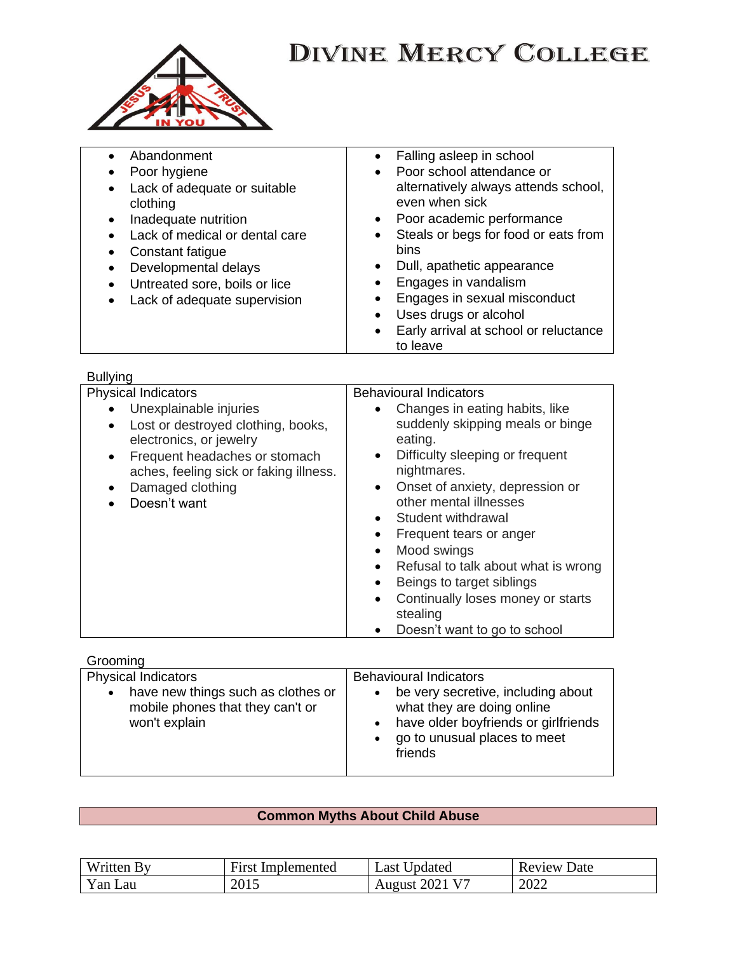

| Abandonment<br>Poor hygiene<br>• Lack of adequate or suitable<br>clothing<br>Inadequate nutrition<br>Lack of medical or dental care<br>Constant fatigue<br>Developmental delays<br>Untreated sore, boils or lice<br>Lack of adequate supervision | Falling asleep in school<br>Poor school attendance or<br>$\bullet$<br>alternatively always attends school,<br>even when sick<br>• Poor academic performance<br>Steals or begs for food or eats from<br>$\bullet$<br>bins<br>Dull, apathetic appearance<br>$\bullet$<br>Engages in vandalism<br>Engages in sexual misconduct<br>Uses drugs or alcohol<br>$\bullet$<br>Early arrival at school or reluctance<br>$\bullet$<br>to leave |
|--------------------------------------------------------------------------------------------------------------------------------------------------------------------------------------------------------------------------------------------------|-------------------------------------------------------------------------------------------------------------------------------------------------------------------------------------------------------------------------------------------------------------------------------------------------------------------------------------------------------------------------------------------------------------------------------------|
|--------------------------------------------------------------------------------------------------------------------------------------------------------------------------------------------------------------------------------------------------|-------------------------------------------------------------------------------------------------------------------------------------------------------------------------------------------------------------------------------------------------------------------------------------------------------------------------------------------------------------------------------------------------------------------------------------|

| Bullying |
|----------|
|          |

| <b>Physical Indicators</b>                                                                                                                                                                                                                    | <b>Behavioural Indicators</b>                                                                                                                                                                                                                                                                                                                                                                                                                                                                                       |
|-----------------------------------------------------------------------------------------------------------------------------------------------------------------------------------------------------------------------------------------------|---------------------------------------------------------------------------------------------------------------------------------------------------------------------------------------------------------------------------------------------------------------------------------------------------------------------------------------------------------------------------------------------------------------------------------------------------------------------------------------------------------------------|
| Unexplainable injuries<br>Lost or destroyed clothing, books,<br>$\bullet$<br>electronics, or jewelry<br>Frequent headaches or stomach<br>$\bullet$<br>aches, feeling sick or faking illness.<br>Damaged clothing<br>$\bullet$<br>Doesn't want | • Changes in eating habits, like<br>suddenly skipping meals or binge<br>eating.<br>Difficulty sleeping or frequent<br>$\bullet$<br>nightmares.<br>Onset of anxiety, depression or<br>$\bullet$<br>other mental illnesses<br>Student withdrawal<br>$\bullet$<br>Frequent tears or anger<br>٠<br>Mood swings<br>$\bullet$<br>Refusal to talk about what is wrong<br>$\bullet$<br>Beings to target siblings<br>$\bullet$<br>Continually loses money or starts<br>$\bullet$<br>stealing<br>Doesn't want to go to school |
|                                                                                                                                                                                                                                               |                                                                                                                                                                                                                                                                                                                                                                                                                                                                                                                     |

| Grooming                                                                                                                           |                                                                                                                                                                                                                             |
|------------------------------------------------------------------------------------------------------------------------------------|-----------------------------------------------------------------------------------------------------------------------------------------------------------------------------------------------------------------------------|
| <b>Physical Indicators</b><br>have new things such as clothes or<br>$\bullet$<br>mobile phones that they can't or<br>won't explain | <b>Behavioural Indicators</b><br>be very secretive, including about<br>$\bullet$<br>what they are doing online<br>have older boyfriends or girlfriends<br>$\bullet$<br>go to unusual places to meet<br>$\bullet$<br>friends |
|                                                                                                                                    |                                                                                                                                                                                                                             |

### **Common Myths About Child Abuse**

| Written By  | <b>First Implemented</b> | Jodated<br>Last         | Review<br>Date |
|-------------|--------------------------|-------------------------|----------------|
| Yan.<br>Lau | 2015                     | August $2021 \text{ V}$ | 2022           |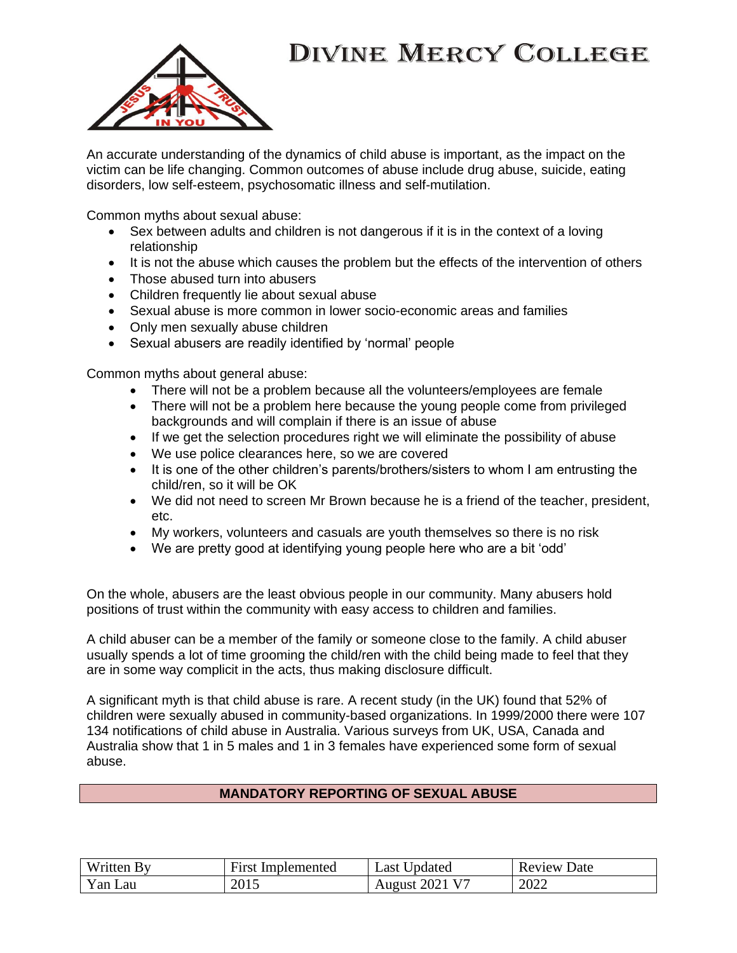

An accurate understanding of the dynamics of child abuse is important, as the impact on the victim can be life changing. Common outcomes of abuse include drug abuse, suicide, eating disorders, low self-esteem, psychosomatic illness and self-mutilation.

Common myths about sexual abuse:

- Sex between adults and children is not dangerous if it is in the context of a loving relationship
- It is not the abuse which causes the problem but the effects of the intervention of others
- Those abused turn into abusers
- Children frequently lie about sexual abuse
- Sexual abuse is more common in lower socio-economic areas and families
- Only men sexually abuse children
- Sexual abusers are readily identified by 'normal' people

Common myths about general abuse:

- There will not be a problem because all the volunteers/employees are female
- There will not be a problem here because the young people come from privileged backgrounds and will complain if there is an issue of abuse
- If we get the selection procedures right we will eliminate the possibility of abuse
- We use police clearances here, so we are covered
- It is one of the other children's parents/brothers/sisters to whom I am entrusting the child/ren, so it will be OK
- We did not need to screen Mr Brown because he is a friend of the teacher, president, etc.
- My workers, volunteers and casuals are youth themselves so there is no risk
- We are pretty good at identifying young people here who are a bit 'odd'

On the whole, abusers are the least obvious people in our community. Many abusers hold positions of trust within the community with easy access to children and families.

A child abuser can be a member of the family or someone close to the family. A child abuser usually spends a lot of time grooming the child/ren with the child being made to feel that they are in some way complicit in the acts, thus making disclosure difficult.

A significant myth is that child abuse is rare. A recent study (in the UK) found that 52% of children were sexually abused in community-based organizations. In 1999/2000 there were 107 134 notifications of child abuse in Australia. Various surveys from UK, USA, Canada and Australia show that 1 in 5 males and 1 in 3 females have experienced some form of sexual abuse.

#### **MANDATORY REPORTING OF SEXUAL ABUSE**

| Written  | First       | Jpdated         | Date   |
|----------|-------------|-----------------|--------|
|          | Implemented | ∟ast '          | Review |
| Y an Lau | 2015        | 202 J<br>August | 2022   |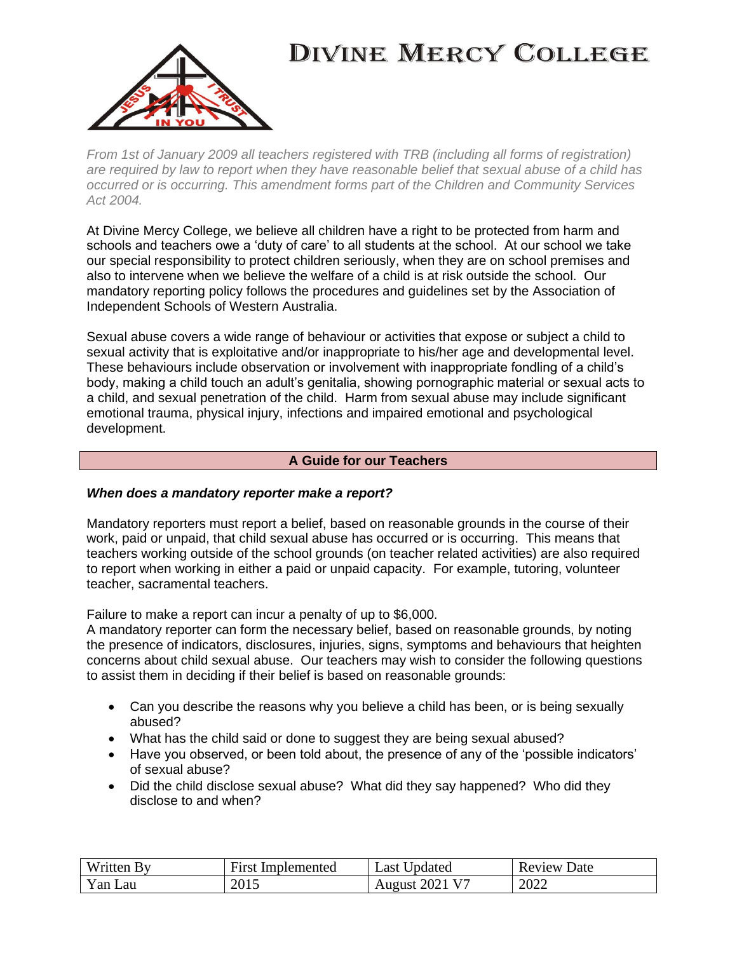

*From 1st of January 2009 all teachers registered with TRB (including all forms of registration) are required by law to report when they have reasonable belief that sexual abuse of a child has occurred or is occurring. This amendment forms part of the Children and Community Services Act 2004.*

At Divine Mercy College, we believe all children have a right to be protected from harm and schools and teachers owe a 'duty of care' to all students at the school. At our school we take our special responsibility to protect children seriously, when they are on school premises and also to intervene when we believe the welfare of a child is at risk outside the school. Our mandatory reporting policy follows the procedures and guidelines set by the Association of Independent Schools of Western Australia.

Sexual abuse covers a wide range of behaviour or activities that expose or subject a child to sexual activity that is exploitative and/or inappropriate to his/her age and developmental level. These behaviours include observation or involvement with inappropriate fondling of a child's body, making a child touch an adult's genitalia, showing pornographic material or sexual acts to a child, and sexual penetration of the child. Harm from sexual abuse may include significant emotional trauma, physical injury, infections and impaired emotional and psychological development.

### **A Guide for our Teachers**

### *When does a mandatory reporter make a report?*

Mandatory reporters must report a belief, based on reasonable grounds in the course of their work, paid or unpaid, that child sexual abuse has occurred or is occurring. This means that teachers working outside of the school grounds (on teacher related activities) are also required to report when working in either a paid or unpaid capacity. For example, tutoring, volunteer teacher, sacramental teachers.

Failure to make a report can incur a penalty of up to \$6,000.

A mandatory reporter can form the necessary belief, based on reasonable grounds, by noting the presence of indicators, disclosures, injuries, signs, symptoms and behaviours that heighten concerns about child sexual abuse. Our teachers may wish to consider the following questions to assist them in deciding if their belief is based on reasonable grounds:

- Can you describe the reasons why you believe a child has been, or is being sexually abused?
- What has the child said or done to suggest they are being sexual abused?
- Have you observed, or been told about, the presence of any of the 'possible indicators' of sexual abuse?
- Did the child disclose sexual abuse? What did they say happened? Who did they disclose to and when?

| Written By | <b>First Implemented</b> | Jpdated<br>∟ast '                  | Review<br>Date |
|------------|--------------------------|------------------------------------|----------------|
| Yan Lau    | 2015                     | $12021$ V <sup>-1</sup><br>August: | 2022           |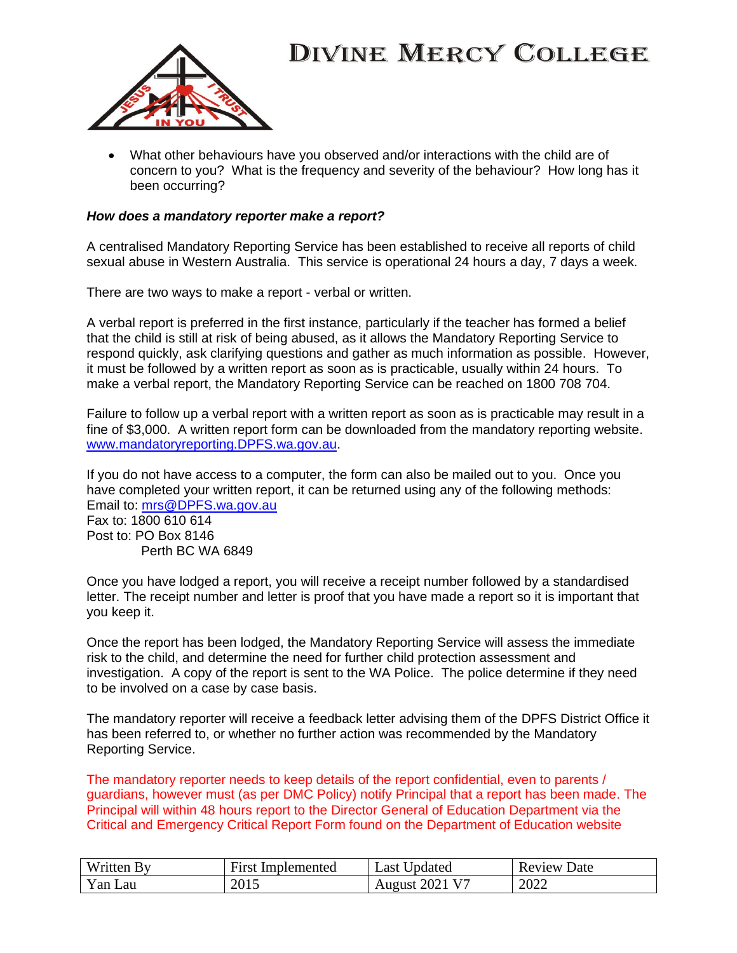

• What other behaviours have you observed and/or interactions with the child are of concern to you? What is the frequency and severity of the behaviour? How long has it been occurring?

#### *How does a mandatory reporter make a report?*

A centralised Mandatory Reporting Service has been established to receive all reports of child sexual abuse in Western Australia. This service is operational 24 hours a day, 7 days a week.

There are two ways to make a report - verbal or written.

A verbal report is preferred in the first instance, particularly if the teacher has formed a belief that the child is still at risk of being abused, as it allows the Mandatory Reporting Service to respond quickly, ask clarifying questions and gather as much information as possible. However, it must be followed by a written report as soon as is practicable, usually within 24 hours. To make a verbal report, the Mandatory Reporting Service can be reached on 1800 708 704.

Failure to follow up a verbal report with a written report as soon as is practicable may result in a fine of \$3,000. A written report form can be downloaded from the mandatory reporting website. [www.mandatoryreporting.DPFS.wa.gov.au.](http://www.mandatoryreporting.dcp.wa.gov.au/)

If you do not have access to a computer, the form can also be mailed out to you. Once you have completed your written report, it can be returned using any of the following methods: Email to: [mrs@DPFS.wa.gov.au](mailto:mrs@dcp.wa.gov.au) Fax to: 1800 610 614 Post to: PO Box 8146 Perth BC WA 6849

Once you have lodged a report, you will receive a receipt number followed by a standardised letter. The receipt number and letter is proof that you have made a report so it is important that you keep it.

Once the report has been lodged, the Mandatory Reporting Service will assess the immediate risk to the child, and determine the need for further child protection assessment and investigation. A copy of the report is sent to the WA Police. The police determine if they need to be involved on a case by case basis.

The mandatory reporter will receive a feedback letter advising them of the DPFS District Office it has been referred to, or whether no further action was recommended by the Mandatory Reporting Service.

The mandatory reporter needs to keep details of the report confidential, even to parents / guardians, however must (as per DMC Policy) notify Principal that a report has been made. The Principal will within 48 hours report to the Director General of Education Department via the Critical and Emergency Critical Report Form found on the Department of Education website

| Written By | First Implemented | Last Updated   | <b>Review Date</b> |
|------------|-------------------|----------------|--------------------|
| Yan Lau    | 2015              | August 2021 V7 | 2022               |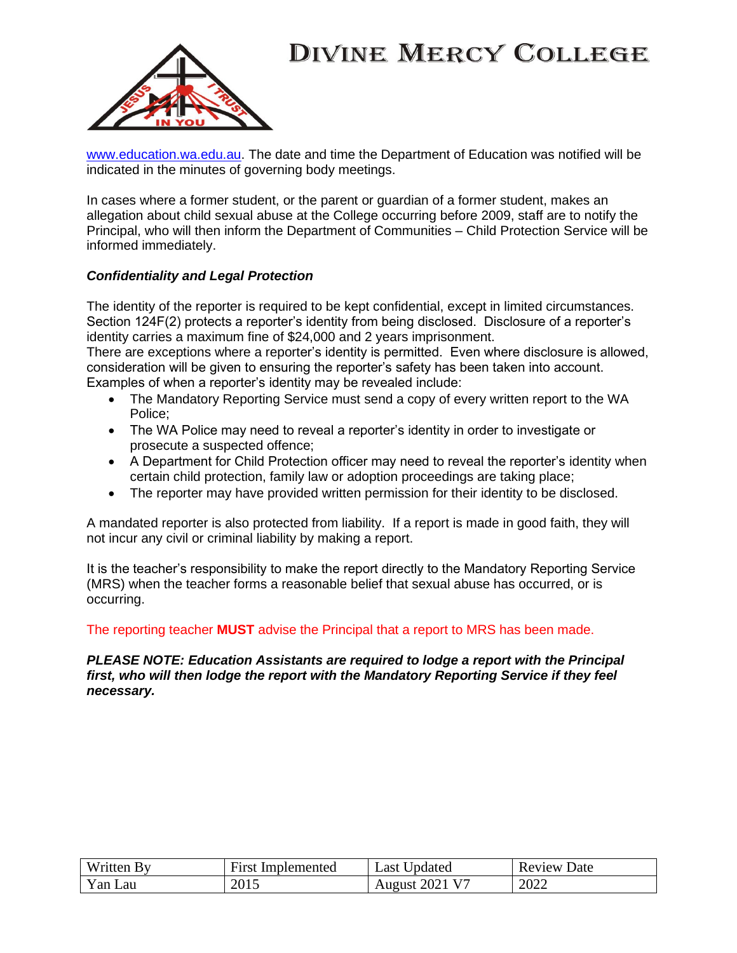

[www.education.wa.edu.au.](http://www.education.wa.edu.au/) The date and time the Department of Education was notified will be indicated in the minutes of governing body meetings.

In cases where a former student, or the parent or guardian of a former student, makes an allegation about child sexual abuse at the College occurring before 2009, staff are to notify the Principal, who will then inform the Department of Communities – Child Protection Service will be informed immediately.

### *Confidentiality and Legal Protection*

The identity of the reporter is required to be kept confidential, except in limited circumstances. Section 124F(2) protects a reporter's identity from being disclosed. Disclosure of a reporter's identity carries a maximum fine of \$24,000 and 2 years imprisonment.

There are exceptions where a reporter's identity is permitted. Even where disclosure is allowed, consideration will be given to ensuring the reporter's safety has been taken into account. Examples of when a reporter's identity may be revealed include:

- The Mandatory Reporting Service must send a copy of every written report to the WA Police;
- The WA Police may need to reveal a reporter's identity in order to investigate or prosecute a suspected offence;
- A Department for Child Protection officer may need to reveal the reporter's identity when certain child protection, family law or adoption proceedings are taking place;
- The reporter may have provided written permission for their identity to be disclosed.

A mandated reporter is also protected from liability. If a report is made in good faith, they will not incur any civil or criminal liability by making a report.

It is the teacher's responsibility to make the report directly to the Mandatory Reporting Service (MRS) when the teacher forms a reasonable belief that sexual abuse has occurred, or is occurring.

### The reporting teacher **MUST** advise the Principal that a report to MRS has been made.

#### *PLEASE NOTE: Education Assistants are required to lodge a report with the Principal first, who will then lodge the report with the Mandatory Reporting Service if they feel necessary.*

| Written. | <b>First</b> | <b>Updated</b>        | Review |
|----------|--------------|-----------------------|--------|
|          | Implemented  | $\text{Last}$         | Date   |
| Yan Lau  | 2015         | <b>August 2021 V7</b> | 2022   |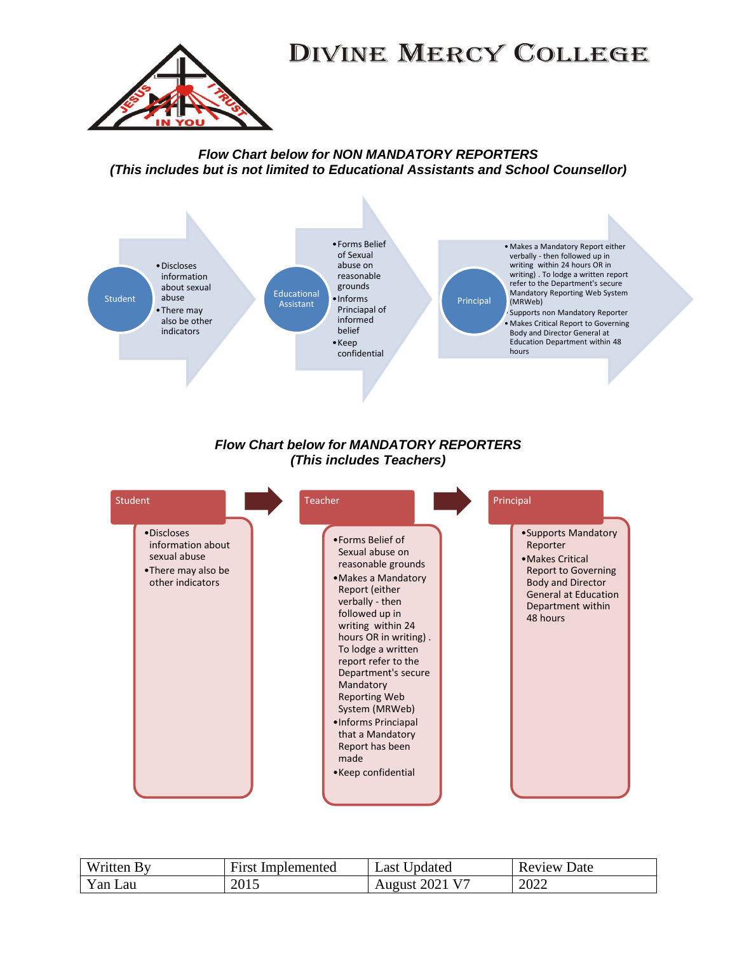

### *Flow Chart below for NON MANDATORY REPORTERS (This includes but is not limited to Educational Assistants and School Counsellor)*



### *Flow Chart below for MANDATORY REPORTERS (This includes Teachers)*



| Written<br><b>BV</b> | $\mathbf{r}$<br>Implemented<br>First | Jpdated<br>$\text{Last}$ | )ate<br>Review |
|----------------------|--------------------------------------|--------------------------|----------------|
| Yan<br>Lau           | 2015                                 | August $2021 \text{ V}$  | 2022           |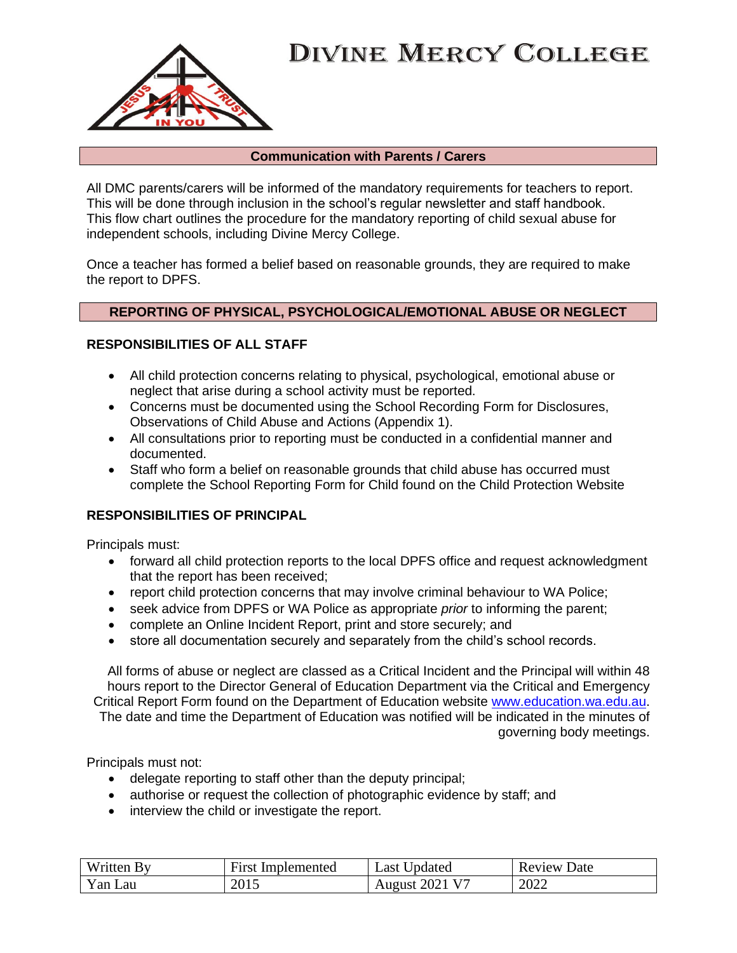

#### **Communication with Parents / Carers**

All DMC parents/carers will be informed of the mandatory requirements for teachers to report. This will be done through inclusion in the school's regular newsletter and staff handbook. This flow chart outlines the procedure for the mandatory reporting of child sexual abuse for independent schools, including Divine Mercy College.

Once a teacher has formed a belief based on reasonable grounds, they are required to make the report to DPFS.

### **REPORTING OF PHYSICAL, PSYCHOLOGICAL/EMOTIONAL ABUSE OR NEGLECT**

### **RESPONSIBILITIES OF ALL STAFF**

- All child protection concerns relating to physical, psychological, emotional abuse or neglect that arise during a school activity must be reported.
- Concerns must be documented using the School Recording Form for Disclosures, Observations of Child Abuse and Actions (Appendix 1).
- All consultations prior to reporting must be conducted in a confidential manner and documented.
- Staff who form a belief on reasonable grounds that child abuse has occurred must complete the School Reporting Form for Child found on the Child Protection Website

### **RESPONSIBILITIES OF PRINCIPAL**

Principals must:

- forward all child protection reports to the local DPFS office and request acknowledgment that the report has been received;
- report child protection concerns that may involve criminal behaviour to WA Police;
- seek advice from DPFS or WA Police as appropriate *prior* to informing the parent;
- complete an Online Incident Report, print and store securely; and
- store all documentation securely and separately from the child's school records.

All forms of abuse or neglect are classed as a Critical Incident and the Principal will within 48 hours report to the Director General of Education Department via the Critical and Emergency Critical Report Form found on the Department of Education website [www.education.wa.edu.au.](http://www.education.wa.edu.au/) The date and time the Department of Education was notified will be indicated in the minutes of governing body meetings.

Principals must not:

- delegate reporting to staff other than the deputy principal;
- authorise or request the collection of photographic evidence by staff; and
- interview the child or investigate the report.

| Written. | First       | Updated                    | Date   |
|----------|-------------|----------------------------|--------|
| . Rv     | Implemented | Last                       | Review |
| Yan Lau  | 2015        | August 2021 V <sup>7</sup> | 2022   |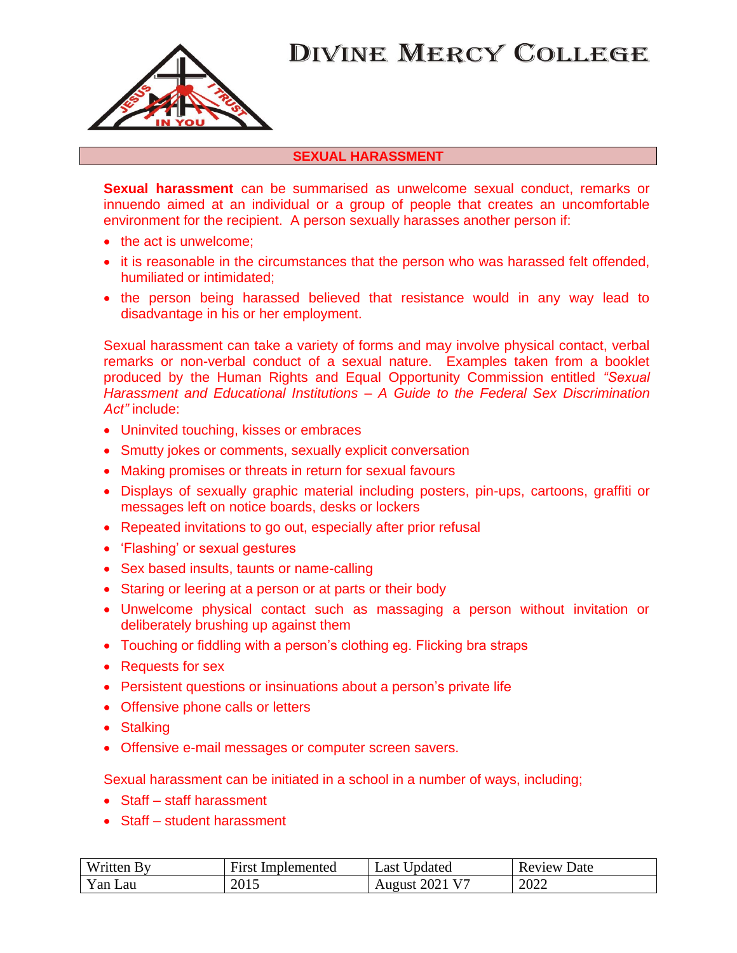

### **SEXUAL HARASSMENT**

**Sexual harassment** can be summarised as unwelcome sexual conduct, remarks or innuendo aimed at an individual or a group of people that creates an uncomfortable environment for the recipient. A person sexually harasses another person if:

- the act is unwelcome;
- it is reasonable in the circumstances that the person who was harassed felt offended, humiliated or intimidated;
- the person being harassed believed that resistance would in any way lead to disadvantage in his or her employment.

Sexual harassment can take a variety of forms and may involve physical contact, verbal remarks or non-verbal conduct of a sexual nature. Examples taken from a booklet produced by the Human Rights and Equal Opportunity Commission entitled *"Sexual Harassment and Educational Institutions – A Guide to the Federal Sex Discrimination Act"* include:

- Uninvited touching, kisses or embraces
- Smutty jokes or comments, sexually explicit conversation
- Making promises or threats in return for sexual favours
- Displays of sexually graphic material including posters, pin-ups, cartoons, graffiti or messages left on notice boards, desks or lockers
- Repeated invitations to go out, especially after prior refusal
- 'Flashing' or sexual gestures
- Sex based insults, taunts or name-calling
- Staring or leering at a person or at parts or their body
- Unwelcome physical contact such as massaging a person without invitation or deliberately brushing up against them
- Touching or fiddling with a person's clothing eg. Flicking bra straps
- Requests for sex
- Persistent questions or insinuations about a person's private life
- Offensive phone calls or letters
- Stalking
- Offensive e-mail messages or computer screen savers.

Sexual harassment can be initiated in a school in a number of ways, including;

- Staff staff harassment
- Staff student harassment

| Written By | Implemented<br><b>First</b> | Last Updated                                  | Date<br>Review |
|------------|-----------------------------|-----------------------------------------------|----------------|
| Yan Lau    | 2015                        | $12021$ V <sup><math>-</math></sup><br>August | 2022           |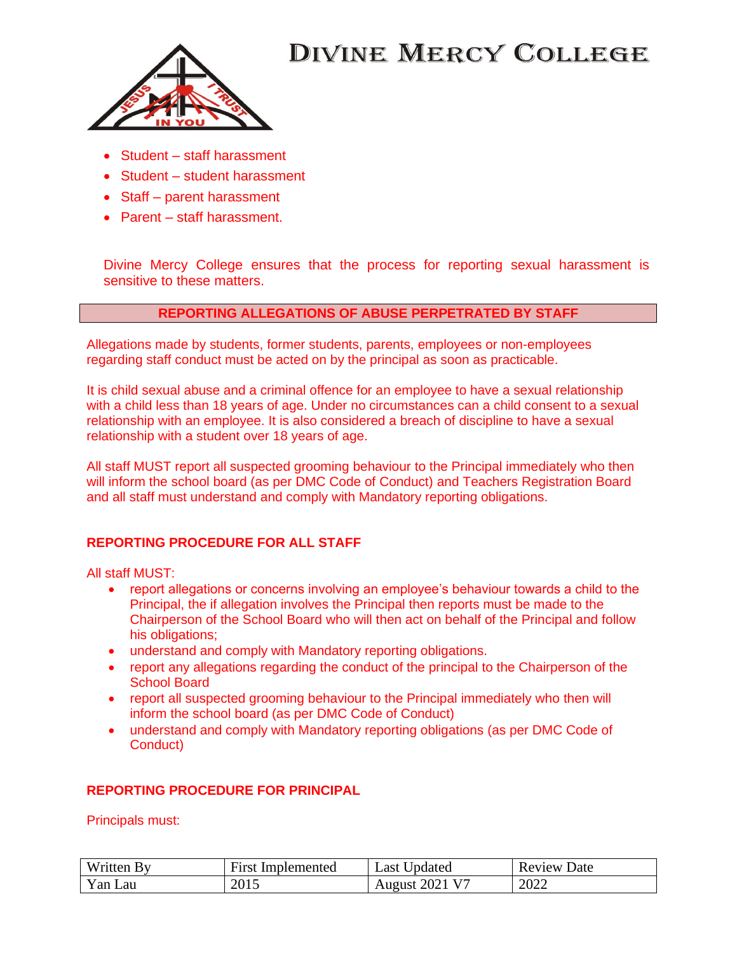

- Student staff harassment
- Student student harassment
- Staff parent harassment
- Parent staff harassment.

Divine Mercy College ensures that the process for reporting sexual harassment is sensitive to these matters.

### **REPORTING ALLEGATIONS OF ABUSE PERPETRATED BY STAFF**

Allegations made by students, former students, parents, employees or non-employees regarding staff conduct must be acted on by the principal as soon as practicable.

It is child sexual abuse and a criminal offence for an employee to have a sexual relationship with a child less than 18 years of age. Under no circumstances can a child consent to a sexual relationship with an employee. It is also considered a breach of discipline to have a sexual relationship with a student over 18 years of age.

All staff MUST report all suspected grooming behaviour to the Principal immediately who then will inform the school board (as per DMC Code of Conduct) and Teachers Registration Board and all staff must understand and comply with Mandatory reporting obligations.

### **REPORTING PROCEDURE FOR ALL STAFF**

All staff MUST:

- report allegations or concerns involving an employee's behaviour towards a child to the Principal, the if allegation involves the Principal then reports must be made to the Chairperson of the School Board who will then act on behalf of the Principal and follow his obligations;
- understand and comply with Mandatory reporting obligations.
- report any allegations regarding the conduct of the principal to the Chairperson of the School Board
- report all suspected grooming behaviour to the Principal immediately who then will inform the school board (as per DMC Code of Conduct)
- understand and comply with Mandatory reporting obligations (as per DMC Code of Conduct)

### **REPORTING PROCEDURE FOR PRINCIPAL**

Principals must:

| Written By | First       | <b>Jpdated</b>        | Date   |
|------------|-------------|-----------------------|--------|
|            | Implemented | Last                  | Review |
| Yan<br>Lau | 2015        | <b>August 2021 V7</b> | 2022   |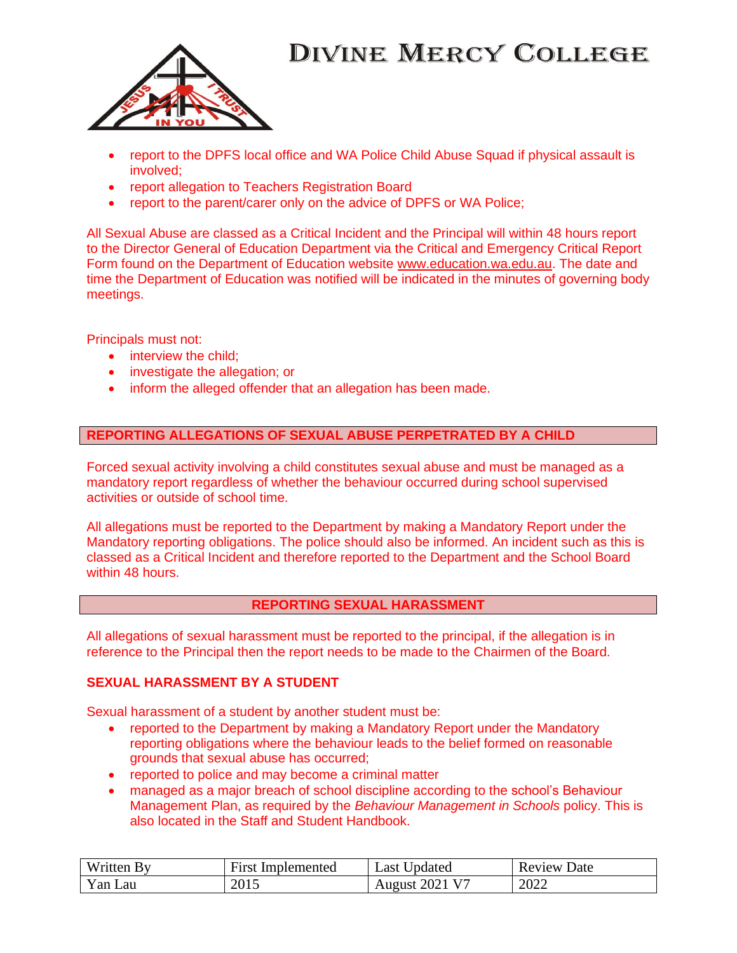

- report to the DPFS local office and WA Police Child Abuse Squad if physical assault is involved;
- report allegation to Teachers Registration Board
- report to the parent/carer only on the advice of DPFS or WA Police:

All Sexual Abuse are classed as a Critical Incident and the Principal will within 48 hours report to the Director General of Education Department via the Critical and Emergency Critical Report Form found on the Department of Education website [www.education.wa.edu.au.](http://www.education.wa.edu.au/) The date and time the Department of Education was notified will be indicated in the minutes of governing body meetings.

Principals must not:

- interview the child:
- investigate the allegation; or
- inform the alleged offender that an allegation has been made.

#### **REPORTING ALLEGATIONS OF SEXUAL ABUSE PERPETRATED BY A CHILD**

Forced sexual activity involving a child constitutes sexual abuse and must be managed as a mandatory report regardless of whether the behaviour occurred during school supervised activities or outside of school time.

All allegations must be reported to the Department by making a Mandatory Report under the Mandatory reporting obligations. The police should also be informed. An incident such as this is classed as a Critical Incident and therefore reported to the Department and the School Board within 48 hours.

#### **REPORTING SEXUAL HARASSMENT**

All allegations of sexual harassment must be reported to the principal, if the allegation is in reference to the Principal then the report needs to be made to the Chairmen of the Board.

#### **SEXUAL HARASSMENT BY A STUDENT**

Sexual harassment of a student by another student must be:

- reported to the Department by making a Mandatory Report under the Mandatory reporting obligations where the behaviour leads to the belief formed on reasonable grounds that sexual abuse has occurred;
- reported to police and may become a criminal matter
- managed as a major breach of school discipline according to the school's Behaviour Management Plan, as required by the *Behaviour Management in Schools* policy. This is also located in the Staff and Student Handbook.

| Written.<br>- Rv      | T.<br>First<br>Implemented | Jpdated<br>Last | Date<br>Review |
|-----------------------|----------------------------|-----------------|----------------|
| $\text{Van}$ .<br>Lau | 2015                       | 2021<br>August  | 2022           |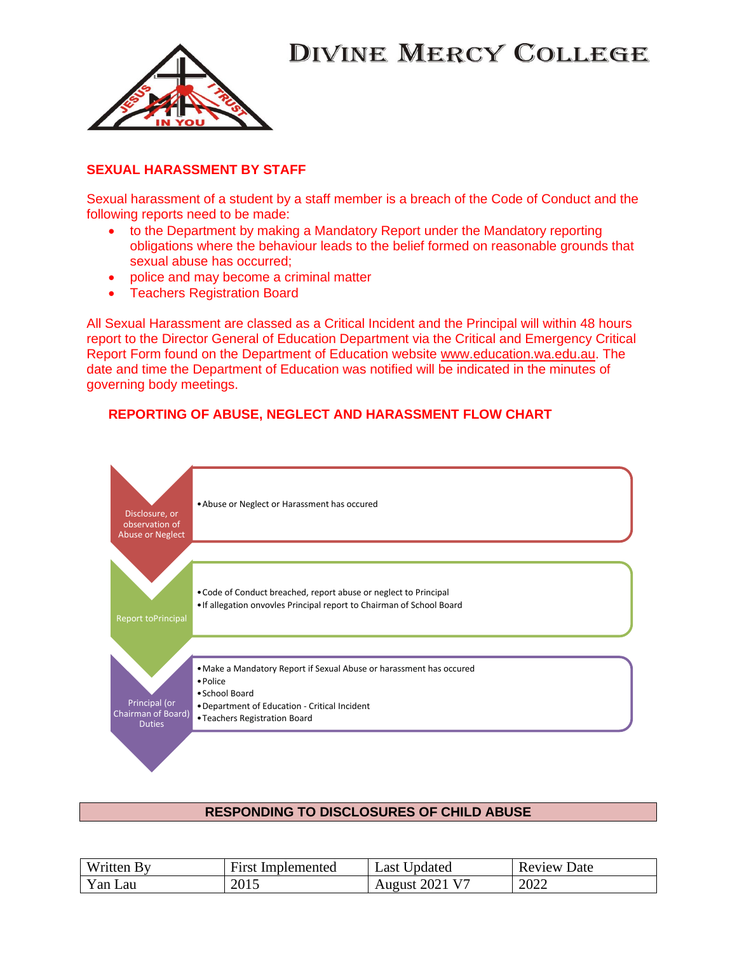

### **SEXUAL HARASSMENT BY STAFF**

Sexual harassment of a student by a staff member is a breach of the Code of Conduct and the following reports need to be made:

- to the Department by making a Mandatory Report under the Mandatory reporting obligations where the behaviour leads to the belief formed on reasonable grounds that sexual abuse has occurred;
- police and may become a criminal matter
- Teachers Registration Board

All Sexual Harassment are classed as a Critical Incident and the Principal will within 48 hours report to the Director General of Education Department via the Critical and Emergency Critical Report Form found on the Department of Education website [www.education.wa.edu.au.](http://www.education.wa.edu.au/) The date and time the Department of Education was notified will be indicated in the minutes of governing body meetings.

### **REPORTING OF ABUSE, NEGLECT AND HARASSMENT FLOW CHART**



### **RESPONDING TO DISCLOSURES OF CHILD ABUSE**

| Written By | <b>First Implemented</b> | Last Updated          | <b>Review Date</b> |
|------------|--------------------------|-----------------------|--------------------|
| Yan Lau    | 2015                     | <b>August 2021 V7</b> | 2022               |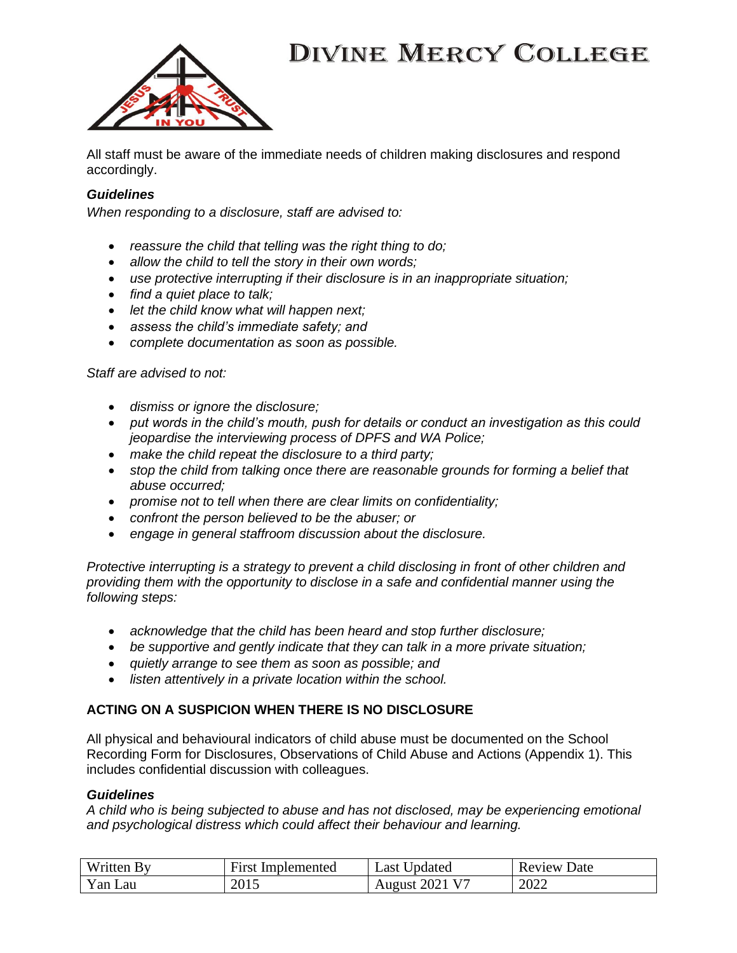

All staff must be aware of the immediate needs of children making disclosures and respond accordingly.

### *Guidelines*

*When responding to a disclosure, staff are advised to:* 

- *reassure the child that telling was the right thing to do;*
- *allow the child to tell the story in their own words;*
- *use protective interrupting if their disclosure is in an inappropriate situation;*
- *find a quiet place to talk;*
- *let the child know what will happen next;*
- *assess the child's immediate safety; and*
- *complete documentation as soon as possible.*

#### *Staff are advised to not:*

- *dismiss or ignore the disclosure;*
- *put words in the child's mouth, push for details or conduct an investigation as this could jeopardise the interviewing process of DPFS and WA Police;*
- *make the child repeat the disclosure to a third party;*
- *stop the child from talking once there are reasonable grounds for forming a belief that abuse occurred;*
- *promise not to tell when there are clear limits on confidentiality;*
- *confront the person believed to be the abuser; or*
- *engage in general staffroom discussion about the disclosure.*

*Protective interrupting is a strategy to prevent a child disclosing in front of other children and providing them with the opportunity to disclose in a safe and confidential manner using the following steps:* 

- *acknowledge that the child has been heard and stop further disclosure;*
- *be supportive and gently indicate that they can talk in a more private situation;*
- *quietly arrange to see them as soon as possible; and*
- *listen attentively in a private location within the school.*

### **ACTING ON A SUSPICION WHEN THERE IS NO DISCLOSURE**

All physical and behavioural indicators of child abuse must be documented on the School Recording Form for Disclosures, Observations of Child Abuse and Actions (Appendix 1). This includes confidential discussion with colleagues.

#### *Guidelines*

*A child who is being subjected to abuse and has not disclosed, may be experiencing emotional and psychological distress which could affect their behaviour and learning.* 

| <b>Written By</b> | <b>First Implemented</b> | Updated<br>∟ast ∪     | Review<br>Date |
|-------------------|--------------------------|-----------------------|----------------|
| Yan Lau           | 2015                     | <b>August 2021 V7</b> | 2022           |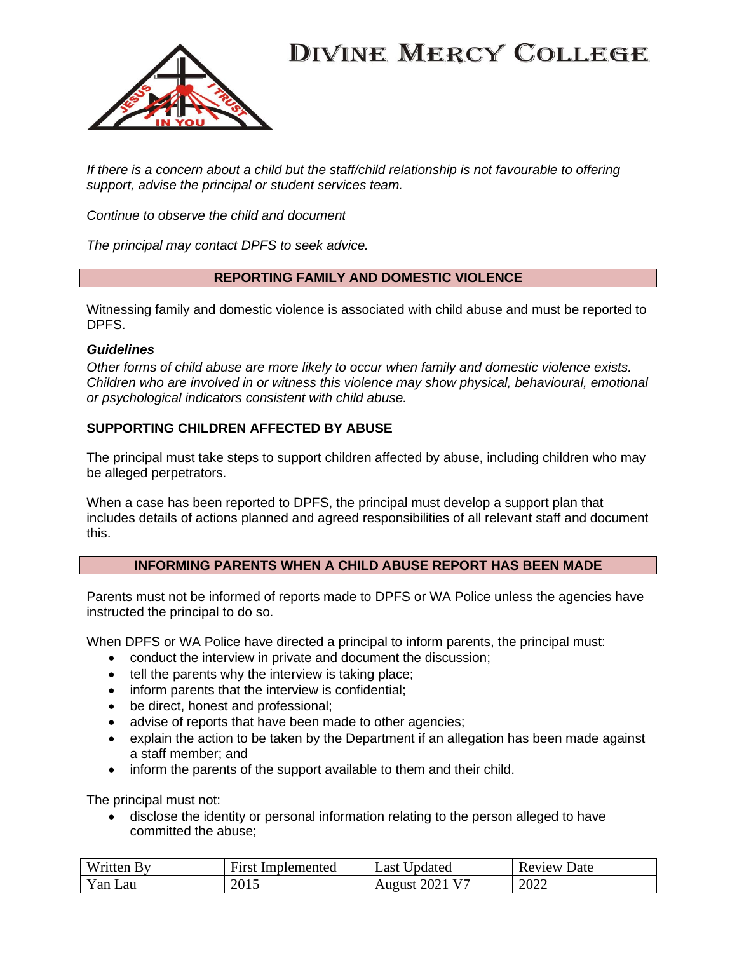

*If there is a concern about a child but the staff/child relationship is not favourable to offering support, advise the principal or student services team.* 

*Continue to observe the child and document* 

*The principal may contact DPFS to seek advice.* 

### **REPORTING FAMILY AND DOMESTIC VIOLENCE**

Witnessing family and domestic violence is associated with child abuse and must be reported to DPFS.

#### *Guidelines*

*Other forms of child abuse are more likely to occur when family and domestic violence exists. Children who are involved in or witness this violence may show physical, behavioural, emotional or psychological indicators consistent with child abuse.* 

### **SUPPORTING CHILDREN AFFECTED BY ABUSE**

The principal must take steps to support children affected by abuse, including children who may be alleged perpetrators.

When a case has been reported to DPFS, the principal must develop a support plan that includes details of actions planned and agreed responsibilities of all relevant staff and document this.

### **INFORMING PARENTS WHEN A CHILD ABUSE REPORT HAS BEEN MADE**

Parents must not be informed of reports made to DPFS or WA Police unless the agencies have instructed the principal to do so.

When DPFS or WA Police have directed a principal to inform parents, the principal must:

- conduct the interview in private and document the discussion;
- tell the parents why the interview is taking place;
- inform parents that the interview is confidential;
- be direct, honest and professional;
- advise of reports that have been made to other agencies;
- explain the action to be taken by the Department if an allegation has been made against a staff member; and
- inform the parents of the support available to them and their child.

The principal must not:

• disclose the identity or personal information relating to the person alleged to have committed the abuse;

| Written        | First       | Updated                        | Date   |
|----------------|-------------|--------------------------------|--------|
| By             | Implemented | Last                           | Review |
| $Yan$ .<br>Lau | 2015        | .2021 V <sup>2</sup><br>August | 2022   |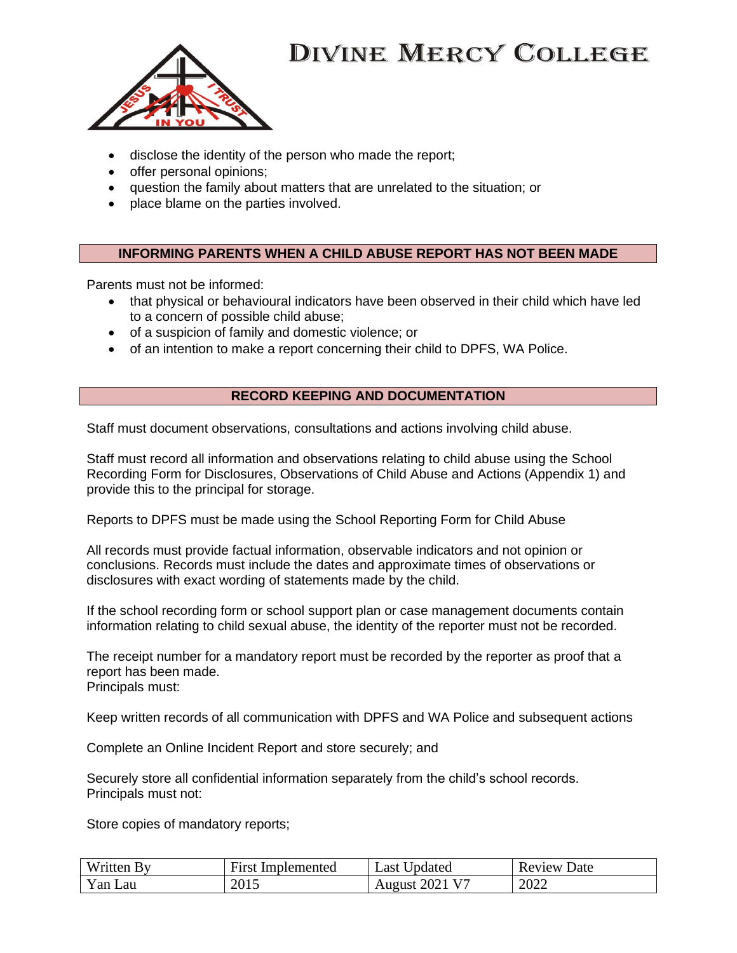

- disclose the identity of the person who made the report;
- offer personal opinions;
- question the family about matters that are unrelated to the situation; or
- place blame on the parties involved.

### **INFORMING PARENTS WHEN A CHILD ABUSE REPORT HAS NOT BEEN MADE**

Parents must not be informed:

- that physical or behavioural indicators have been observed in their child which have led to a concern of possible child abuse;
- of a suspicion of family and domestic violence; or
- of an intention to make a report concerning their child to DPFS, WA Police.

### **RECORD KEEPING AND DOCUMENTATION**

Staff must document observations, consultations and actions involving child abuse.

Staff must record all information and observations relating to child abuse using the School Recording Form for Disclosures, Observations of Child Abuse and Actions (Appendix 1) and provide this to the principal for storage.

Reports to DPFS must be made using the School Reporting Form for Child Abuse

All records must provide factual information, observable indicators and not opinion or conclusions. Records must include the dates and approximate times of observations or disclosures with exact wording of statements made by the child.

If the school recording form or school support plan or case management documents contain information relating to child sexual abuse, the identity of the reporter must not be recorded.

The receipt number for a mandatory report must be recorded by the reporter as proof that a report has been made. Principals must:

Keep written records of all communication with DPFS and WA Police and subsequent actions

Complete an Online Incident Report and store securely; and

Securely store all confidential information separately from the child's school records. Principals must not:

Store copies of mandatory reports;

| Written | First       | Jpdated                    | Date   |
|---------|-------------|----------------------------|--------|
|         | Implemented | ∟ast <sup>1</sup>          | Review |
| Yan Lau | 2015        | 202 <sup>1</sup><br>August | 2022   |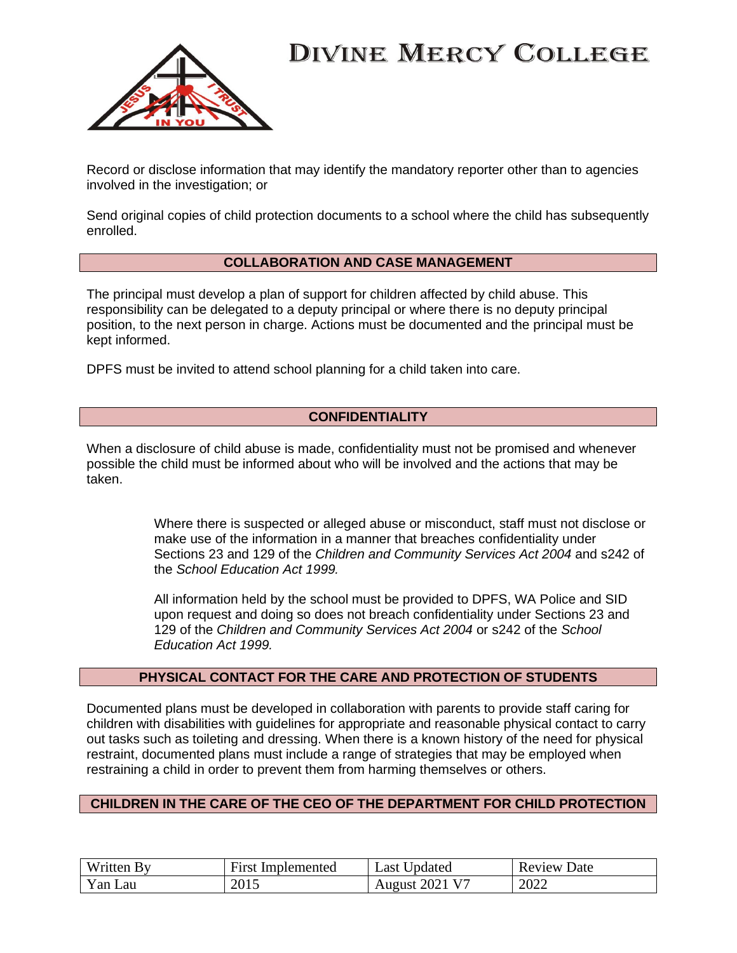

Record or disclose information that may identify the mandatory reporter other than to agencies involved in the investigation; or

Send original copies of child protection documents to a school where the child has subsequently enrolled.

#### **COLLABORATION AND CASE MANAGEMENT**

The principal must develop a plan of support for children affected by child abuse. This responsibility can be delegated to a deputy principal or where there is no deputy principal position, to the next person in charge. Actions must be documented and the principal must be kept informed.

DPFS must be invited to attend school planning for a child taken into care.

### **CONFIDENTIALITY**

When a disclosure of child abuse is made, confidentiality must not be promised and whenever possible the child must be informed about who will be involved and the actions that may be taken.

> Where there is suspected or alleged abuse or misconduct, staff must not disclose or make use of the information in a manner that breaches confidentiality under Sections 23 and 129 of the *Children and Community Services Act 2004* and s242 of the *School Education Act 1999.*

All information held by the school must be provided to DPFS, WA Police and SID upon request and doing so does not breach confidentiality under Sections 23 and 129 of the *Children and Community Services Act 2004* or s242 of the *School Education Act 1999.* 

#### **PHYSICAL CONTACT FOR THE CARE AND PROTECTION OF STUDENTS**

Documented plans must be developed in collaboration with parents to provide staff caring for children with disabilities with guidelines for appropriate and reasonable physical contact to carry out tasks such as toileting and dressing. When there is a known history of the need for physical restraint, documented plans must include a range of strategies that may be employed when restraining a child in order to prevent them from harming themselves or others.

#### **CHILDREN IN THE CARE OF THE CEO OF THE DEPARTMENT FOR CHILD PROTECTION**

| Written<br>- Kv | ÷-<br>First<br>Implemented | Jpdated<br>∟ast ' | Date<br>Review |
|-----------------|----------------------------|-------------------|----------------|
| $Yan$ .<br>Lau  | 2015                       | 2021<br>August    | 2022           |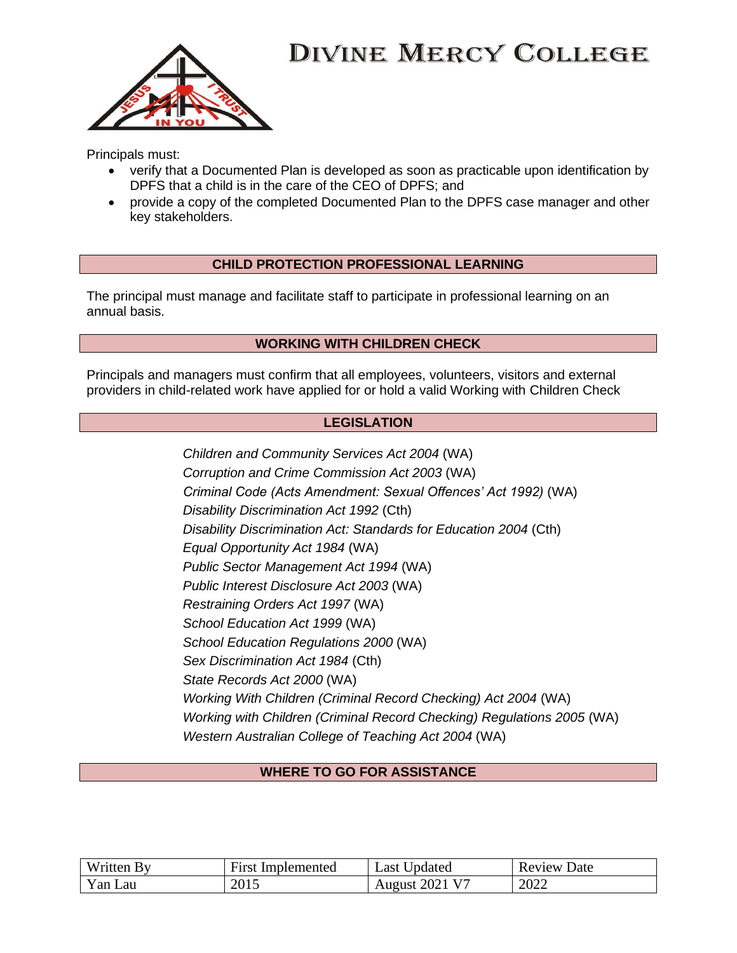

Principals must:

- verify that a Documented Plan is developed as soon as practicable upon identification by DPFS that a child is in the care of the CEO of DPFS; and
- provide a copy of the completed Documented Plan to the DPFS case manager and other key stakeholders.

### **CHILD PROTECTION PROFESSIONAL LEARNING**

The principal must manage and facilitate staff to participate in professional learning on an annual basis.

### **WORKING WITH CHILDREN CHECK**

Principals and managers must confirm that all employees, volunteers, visitors and external providers in child-related work have applied for or hold a valid Working with Children Check

### **LEGISLATION**

| Children and Community Services Act 2004 (WA)                          |
|------------------------------------------------------------------------|
| Corruption and Crime Commission Act 2003 (WA)                          |
| Criminal Code (Acts Amendment: Sexual Offences' Act 1992) (WA)         |
| Disability Discrimination Act 1992 (Cth)                               |
| Disability Discrimination Act: Standards for Education 2004 (Cth)      |
| Equal Opportunity Act 1984 (WA)                                        |
| Public Sector Management Act 1994 (WA)                                 |
| Public Interest Disclosure Act 2003 (WA)                               |
| Restraining Orders Act 1997 (WA)                                       |
| School Education Act 1999 (WA)                                         |
| School Education Regulations 2000 (WA)                                 |
| Sex Discrimination Act 1984 (Cth)                                      |
| State Records Act 2000 (WA)                                            |
| Working With Children (Criminal Record Checking) Act 2004 (WA)         |
| Working with Children (Criminal Record Checking) Regulations 2005 (WA) |
| Western Australian College of Teaching Act 2004 (WA)                   |

### **WHERE TO GO FOR ASSISTANCE**

| Written By  | First<br>Implemented | Last Updated   | Review<br>Date |
|-------------|----------------------|----------------|----------------|
| Yan.<br>Lau | 2015                 | August 2021 V7 | 2022           |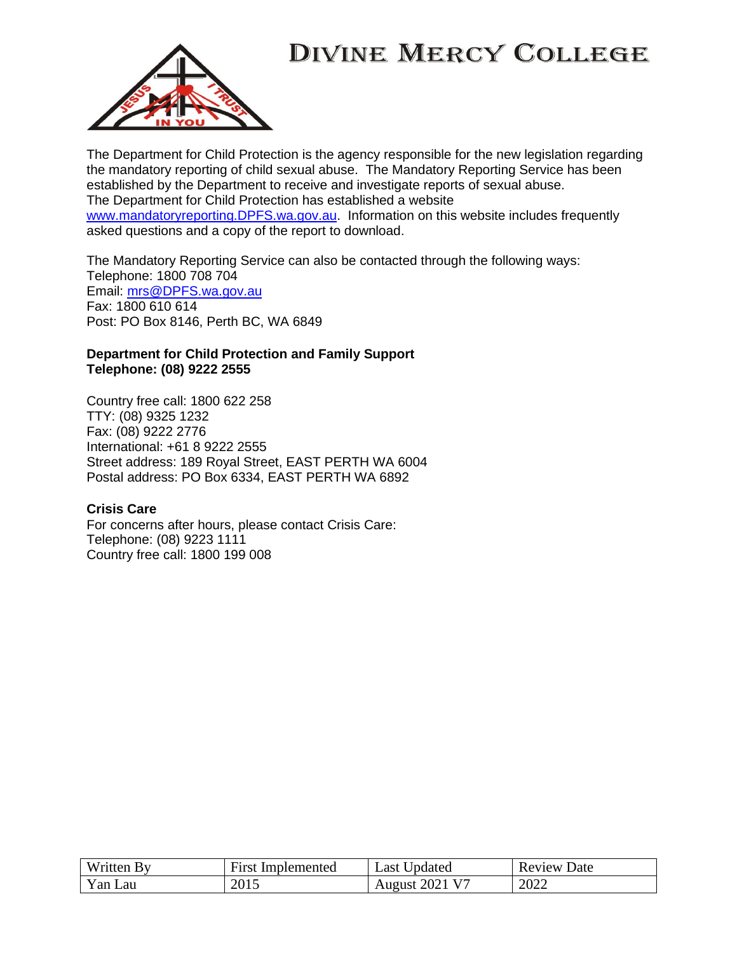

The Department for Child Protection is the agency responsible for the new legislation regarding the mandatory reporting of child sexual abuse. The Mandatory Reporting Service has been established by the Department to receive and investigate reports of sexual abuse. The Department for Child Protection has established a website [www.mandatoryreporting.DPFS.wa.gov.au.](http://www.mandatoryreporting.dcp.wa.gov.au/) Information on this website includes frequently asked questions and a copy of the report to download.

The Mandatory Reporting Service can also be contacted through the following ways: Telephone: 1800 708 704 Email: [mrs@DPFS.wa.gov.au](mailto:mrs@dcp.wa.gov.au) Fax: 1800 610 614 Post: PO Box 8146, Perth BC, WA 6849

#### **Department for Child Protection and Family Support Telephone: (08) 9222 2555**

Country free call: 1800 622 258 TTY: (08) 9325 1232 Fax: (08) 9222 2776 International: +61 8 9222 2555 Street address: 189 Royal Street, EAST PERTH WA 6004 Postal address: PO Box 6334, EAST PERTH WA 6892

### **Crisis Care**

For concerns after hours, please contact Crisis Care: Telephone: (08) 9223 1111 Country free call: 1800 199 008

| Written By | First       | Updated                         | Date   |
|------------|-------------|---------------------------------|--------|
|            | Implemented | Last                            | Review |
| Yan Lau    | 2015        | . 2021 V <sup>-</sup><br>August | 2022   |